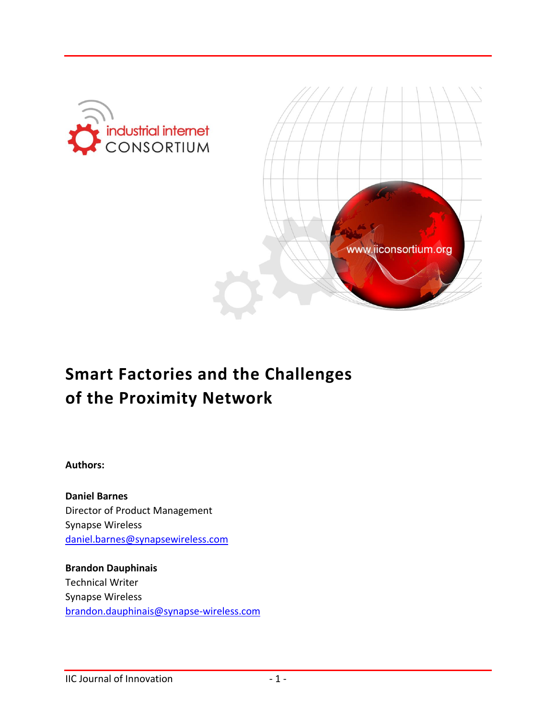



# **Smart Factories and the Challenges of the Proximity Network**

**Authors:**

**Daniel Barnes** Director of Product Management Synapse Wireless [daniel.barnes@synapsewireless.com](mailto:daniel.barnes@synapsewireless.com)

**Brandon Dauphinais** Technical Writer Synapse Wireless [brandon.dauphinais@synapse-wireless.com](mailto:brandon.dauphinais@synapse-wireless.com)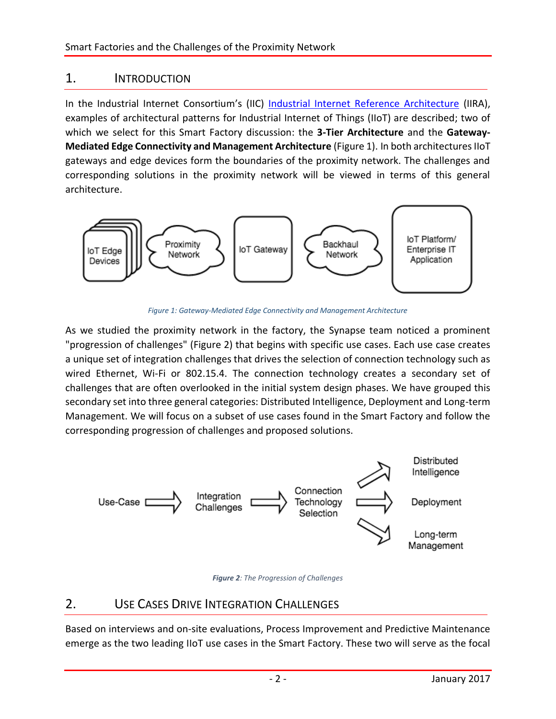## 1. INTRODUCTION

In the Industrial Internet Consortium's (IIC) [Industrial Internet Reference Architecture](http://www.iiconsortium.org/IIRA.htm) (IIRA), examples of architectural patterns for Industrial Internet of Things (IIoT) are described; two of which we select for this Smart Factory discussion: the **3-Tier Architecture** and the **Gateway-Mediated Edge Connectivity and Management Architecture** (Figure 1). In both architectures IIoT gateways and edge devices form the boundaries of the proximity network. The challenges and corresponding solutions in the proximity network will be viewed in terms of this general architecture.



*Figure 1: Gateway-Mediated Edge Connectivity and Management Architecture*

As we studied the proximity network in the factory, the Synapse team noticed a prominent "progression of challenges" (Figure 2) that begins with specific use cases. Each use case creates a unique set of integration challenges that drives the selection of connection technology such as wired Ethernet, Wi-Fi or 802.15.4. The connection technology creates a secondary set of challenges that are often overlooked in the initial system design phases. We have grouped this secondary set into three general categories: Distributed Intelligence, Deployment and Long-term Management. We will focus on a subset of use cases found in the Smart Factory and follow the corresponding progression of challenges and proposed solutions.





## 2. USE CASES DRIVE INTEGRATION CHALLENGES

Based on interviews and on-site evaluations, Process Improvement and Predictive Maintenance emerge as the two leading IIoT use cases in the Smart Factory. These two will serve as the focal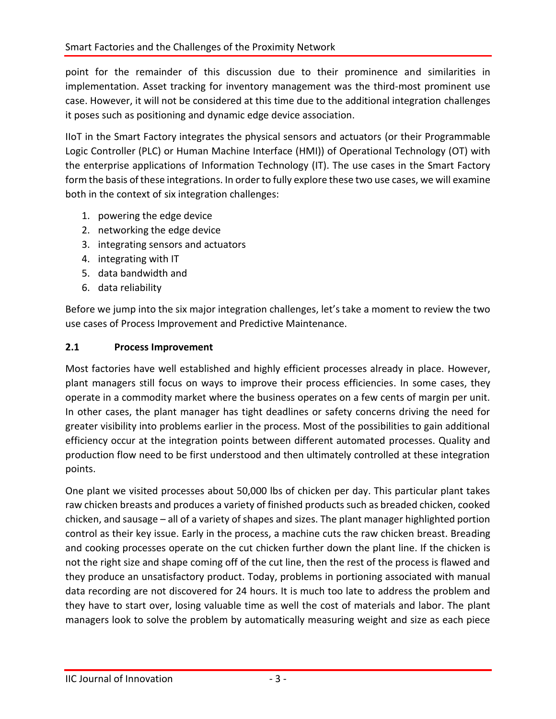point for the remainder of this discussion due to their prominence and similarities in implementation. Asset tracking for inventory management was the third-most prominent use case. However, it will not be considered at this time due to the additional integration challenges it poses such as positioning and dynamic edge device association.

IIoT in the Smart Factory integrates the physical sensors and actuators (or their Programmable Logic Controller (PLC) or Human Machine Interface (HMI)) of Operational Technology (OT) with the enterprise applications of Information Technology (IT). The use cases in the Smart Factory form the basis of these integrations. In order to fully explore these two use cases, we will examine both in the context of six integration challenges:

- 1. powering the edge device
- 2. networking the edge device
- 3. integrating sensors and actuators
- 4. integrating with IT
- 5. data bandwidth and
- 6. data reliability

Before we jump into the six major integration challenges, let's take a moment to review the two use cases of Process Improvement and Predictive Maintenance.

#### **2.1 Process Improvement**

Most factories have well established and highly efficient processes already in place. However, plant managers still focus on ways to improve their process efficiencies. In some cases, they operate in a commodity market where the business operates on a few cents of margin per unit. In other cases, the plant manager has tight deadlines or safety concerns driving the need for greater visibility into problems earlier in the process. Most of the possibilities to gain additional efficiency occur at the integration points between different automated processes. Quality and production flow need to be first understood and then ultimately controlled at these integration points.

One plant we visited processes about 50,000 lbs of chicken per day. This particular plant takes raw chicken breasts and produces a variety of finished products such as breaded chicken, cooked chicken, and sausage – all of a variety of shapes and sizes. The plant manager highlighted portion control as their key issue. Early in the process, a machine cuts the raw chicken breast. Breading and cooking processes operate on the cut chicken further down the plant line. If the chicken is not the right size and shape coming off of the cut line, then the rest of the process is flawed and they produce an unsatisfactory product. Today, problems in portioning associated with manual data recording are not discovered for 24 hours. It is much too late to address the problem and they have to start over, losing valuable time as well the cost of materials and labor. The plant managers look to solve the problem by automatically measuring weight and size as each piece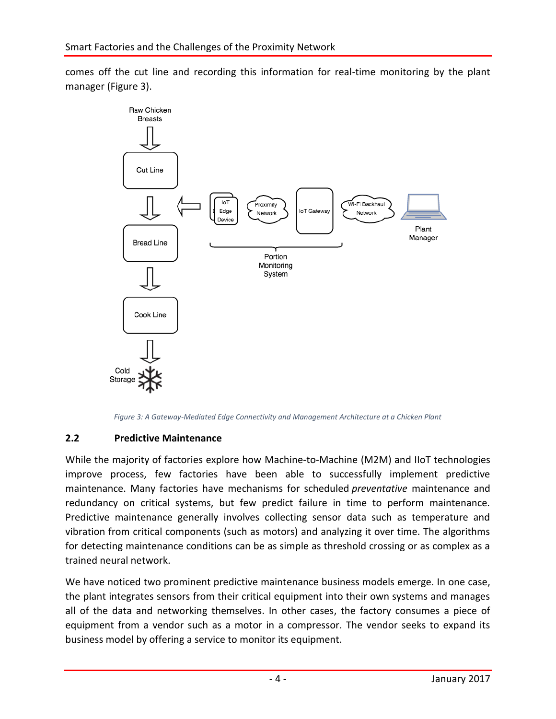comes off the cut line and recording this information for real-time monitoring by the plant manager (Figure 3).



*Figure 3: A Gateway-Mediated Edge Connectivity and Management Architecture at a Chicken Plant*

#### **2.2 Predictive Maintenance**

While the majority of factories explore how Machine-to-Machine (M2M) and IIoT technologies improve process, few factories have been able to successfully implement predictive maintenance. Many factories have mechanisms for scheduled *preventative* maintenance and redundancy on critical systems, but few predict failure in time to perform maintenance. Predictive maintenance generally involves collecting sensor data such as temperature and vibration from critical components (such as motors) and analyzing it over time. The algorithms for detecting maintenance conditions can be as simple as threshold crossing or as complex as a trained neural network.

We have noticed two prominent predictive maintenance business models emerge. In one case, the plant integrates sensors from their critical equipment into their own systems and manages all of the data and networking themselves. In other cases, the factory consumes a piece of equipment from a vendor such as a motor in a compressor. The vendor seeks to expand its business model by offering a service to monitor its equipment.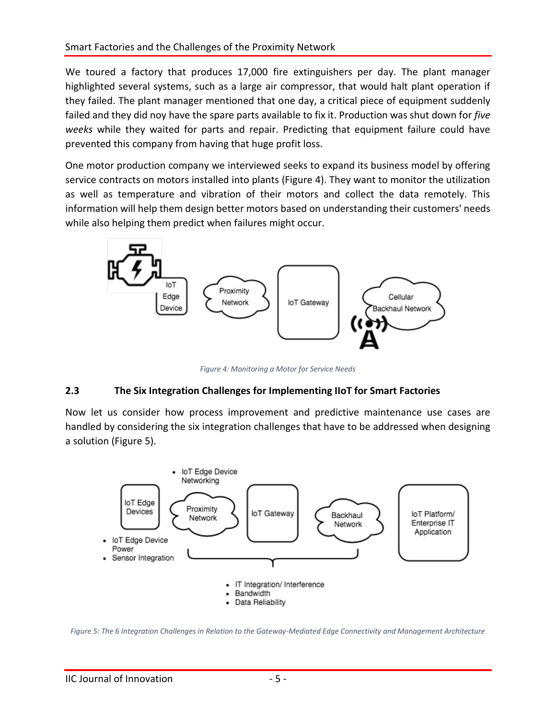We toured a factory that produces 17,000 fire extinguishers per day. The plant manager highlighted several systems, such as a large air compressor, that would halt plant operation if they failed. The plant manager mentioned that one day, a critical piece of equipment suddenly failed and they did noy have the spare parts available to fix it. Production was shut down for *five weeks* while they waited for parts and repair. Predicting that equipment failure could have prevented this company from having that huge profit loss.

One motor production company we interviewed seeks to expand its business model by offering service contracts on motors installed into plants (Figure 4). They want to monitor the utilization as well as temperature and vibration of their motors and collect the data remotely. This information will help them design better motors based on understanding their customers' needs while also helping them predict when failures might occur.



*Figure 4: Monitoring a Motor for Service Needs*

## **2.3 The Six Integration Challenges for Implementing IIoT for Smart Factories**

Now let us consider how process improvement and predictive maintenance use cases are handled by considering the six integration challenges that have to be addressed when designing a solution (Figure 5).



*Figure 5: The 6 Integration Challenges in Relation to the Gateway-Mediated Edge Connectivity and Management Architecture*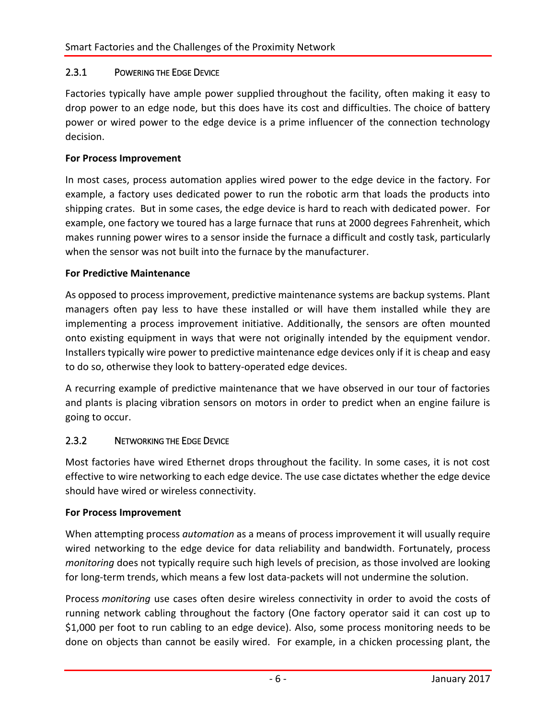#### 2.3.1 POWERING THE EDGE DEVICE

Factories typically have ample power supplied throughout the facility, often making it easy to drop power to an edge node, but this does have its cost and difficulties. The choice of battery power or wired power to the edge device is a prime influencer of the connection technology decision.

#### **For Process Improvement**

In most cases, process automation applies wired power to the edge device in the factory. For example, a factory uses dedicated power to run the robotic arm that loads the products into shipping crates. But in some cases, the edge device is hard to reach with dedicated power. For example, one factory we toured has a large furnace that runs at 2000 degrees Fahrenheit, which makes running power wires to a sensor inside the furnace a difficult and costly task, particularly when the sensor was not built into the furnace by the manufacturer.

#### **For Predictive Maintenance**

As opposed to process improvement, predictive maintenance systems are backup systems. Plant managers often pay less to have these installed or will have them installed while they are implementing a process improvement initiative. Additionally, the sensors are often mounted onto existing equipment in ways that were not originally intended by the equipment vendor. Installers typically wire power to predictive maintenance edge devices only if it is cheap and easy to do so, otherwise they look to battery-operated edge devices.

A recurring example of predictive maintenance that we have observed in our tour of factories and plants is placing vibration sensors on motors in order to predict when an engine failure is going to occur.

#### 2.3.2 NETWORKING THE EDGE DEVICE

Most factories have wired Ethernet drops throughout the facility. In some cases, it is not cost effective to wire networking to each edge device. The use case dictates whether the edge device should have wired or wireless connectivity.

#### **For Process Improvement**

When attempting process *automation* as a means of process improvement it will usually require wired networking to the edge device for data reliability and bandwidth. Fortunately, process *monitoring* does not typically require such high levels of precision, as those involved are looking for long-term trends, which means a few lost data-packets will not undermine the solution.

Process *monitoring* use cases often desire wireless connectivity in order to avoid the costs of running network cabling throughout the factory (One factory operator said it can cost up to \$1,000 per foot to run cabling to an edge device). Also, some process monitoring needs to be done on objects than cannot be easily wired. For example, in a chicken processing plant, the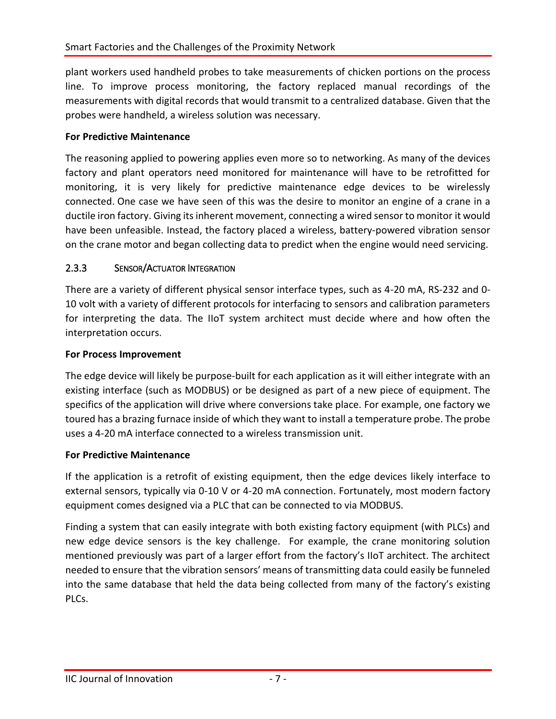plant workers used handheld probes to take measurements of chicken portions on the process line. To improve process monitoring, the factory replaced manual recordings of the measurements with digital records that would transmit to a centralized database. Given that the probes were handheld, a wireless solution was necessary.

#### **For Predictive Maintenance**

The reasoning applied to powering applies even more so to networking. As many of the devices factory and plant operators need monitored for maintenance will have to be retrofitted for monitoring, it is very likely for predictive maintenance edge devices to be wirelessly connected. One case we have seen of this was the desire to monitor an engine of a crane in a ductile iron factory. Giving its inherent movement, connecting a wired sensor to monitor it would have been unfeasible. Instead, the factory placed a wireless, battery-powered vibration sensor on the crane motor and began collecting data to predict when the engine would need servicing.

#### 2.3.3 SENSOR/ACTUATOR INTEGRATION

There are a variety of different physical sensor interface types, such as 4-20 mA, RS-232 and 0- 10 volt with a variety of different protocols for interfacing to sensors and calibration parameters for interpreting the data. The IIoT system architect must decide where and how often the interpretation occurs.

#### **For Process Improvement**

The edge device will likely be purpose-built for each application as it will either integrate with an existing interface (such as MODBUS) or be designed as part of a new piece of equipment. The specifics of the application will drive where conversions take place. For example, one factory we toured has a brazing furnace inside of which they want to install a temperature probe. The probe uses a 4-20 mA interface connected to a wireless transmission unit.

#### **For Predictive Maintenance**

If the application is a retrofit of existing equipment, then the edge devices likely interface to external sensors, typically via 0-10 V or 4-20 mA connection. Fortunately, most modern factory equipment comes designed via a PLC that can be connected to via MODBUS.

Finding a system that can easily integrate with both existing factory equipment (with PLCs) and new edge device sensors is the key challenge. For example, the crane monitoring solution mentioned previously was part of a larger effort from the factory's IIoT architect. The architect needed to ensure that the vibration sensors' means of transmitting data could easily be funneled into the same database that held the data being collected from many of the factory's existing PLCs.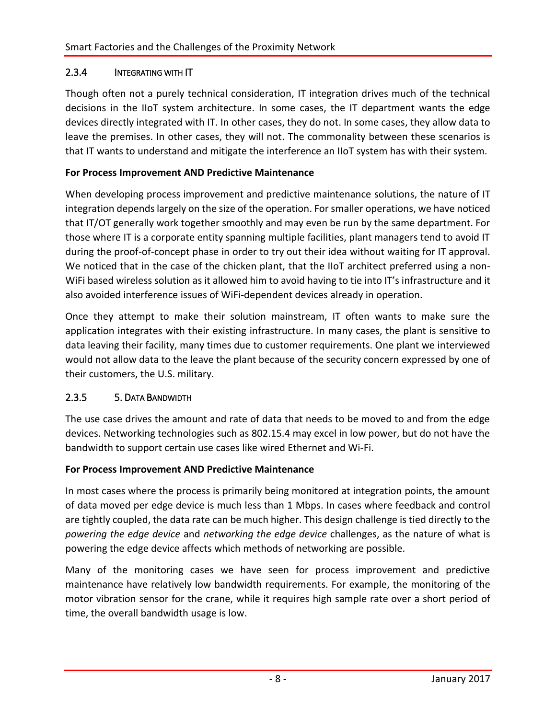#### 2.3.4 INTEGRATING WITH IT

Though often not a purely technical consideration, IT integration drives much of the technical decisions in the IIoT system architecture. In some cases, the IT department wants the edge devices directly integrated with IT. In other cases, they do not. In some cases, they allow data to leave the premises. In other cases, they will not. The commonality between these scenarios is that IT wants to understand and mitigate the interference an IIoT system has with their system.

#### **For Process Improvement AND Predictive Maintenance**

When developing process improvement and predictive maintenance solutions, the nature of IT integration depends largely on the size of the operation. For smaller operations, we have noticed that IT/OT generally work together smoothly and may even be run by the same department. For those where IT is a corporate entity spanning multiple facilities, plant managers tend to avoid IT during the proof-of-concept phase in order to try out their idea without waiting for IT approval. We noticed that in the case of the chicken plant, that the IIOT architect preferred using a non-WiFi based wireless solution as it allowed him to avoid having to tie into IT's infrastructure and it also avoided interference issues of WiFi-dependent devices already in operation.

Once they attempt to make their solution mainstream, IT often wants to make sure the application integrates with their existing infrastructure. In many cases, the plant is sensitive to data leaving their facility, many times due to customer requirements. One plant we interviewed would not allow data to the leave the plant because of the security concern expressed by one of their customers, the U.S. military.

#### 2.3.5 5. DATA BANDWIDTH

The use case drives the amount and rate of data that needs to be moved to and from the edge devices. Networking technologies such as 802.15.4 may excel in low power, but do not have the bandwidth to support certain use cases like wired Ethernet and Wi-Fi.

#### **For Process Improvement AND Predictive Maintenance**

In most cases where the process is primarily being monitored at integration points, the amount of data moved per edge device is much less than 1 Mbps. In cases where feedback and control are tightly coupled, the data rate can be much higher. This design challenge is tied directly to the *powering the edge device* and *networking the edge device* challenges, as the nature of what is powering the edge device affects which methods of networking are possible.

Many of the monitoring cases we have seen for process improvement and predictive maintenance have relatively low bandwidth requirements. For example, the monitoring of the motor vibration sensor for the crane, while it requires high sample rate over a short period of time, the overall bandwidth usage is low.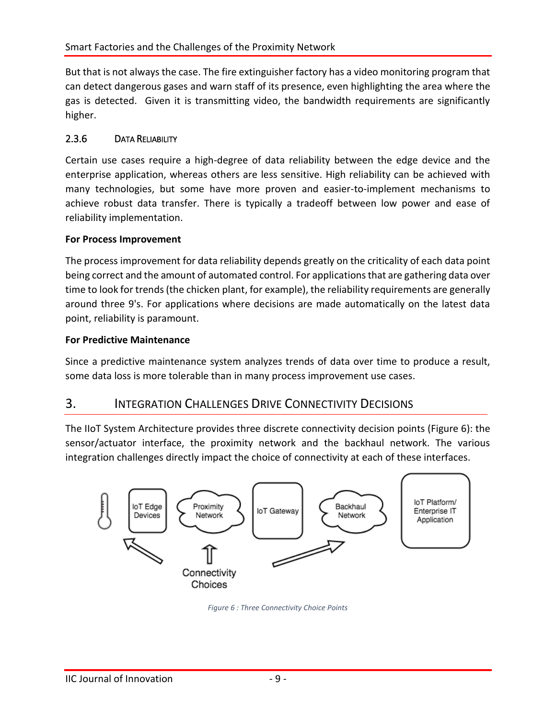But that is not always the case. The fire extinguisher factory has a video monitoring program that can detect dangerous gases and warn staff of its presence, even highlighting the area where the gas is detected. Given it is transmitting video, the bandwidth requirements are significantly higher.

#### 2.3.6 DATA RELIABILITY

Certain use cases require a high-degree of data reliability between the edge device and the enterprise application, whereas others are less sensitive. High reliability can be achieved with many technologies, but some have more proven and easier-to-implement mechanisms to achieve robust data transfer. There is typically a tradeoff between low power and ease of reliability implementation.

#### **For Process Improvement**

The process improvement for data reliability depends greatly on the criticality of each data point being correct and the amount of automated control. For applications that are gathering data over time to look for trends (the chicken plant, for example), the reliability requirements are generally around three 9's. For applications where decisions are made automatically on the latest data point, reliability is paramount.

#### **For Predictive Maintenance**

Since a predictive maintenance system analyzes trends of data over time to produce a result, some data loss is more tolerable than in many process improvement use cases.

## 3. INTEGRATION CHALLENGES DRIVE CONNECTIVITY DECISIONS

The IIoT System Architecture provides three discrete connectivity decision points (Figure 6): the sensor/actuator interface, the proximity network and the backhaul network. The various integration challenges directly impact the choice of connectivity at each of these interfaces.



*Figure 6 : Three Connectivity Choice Points*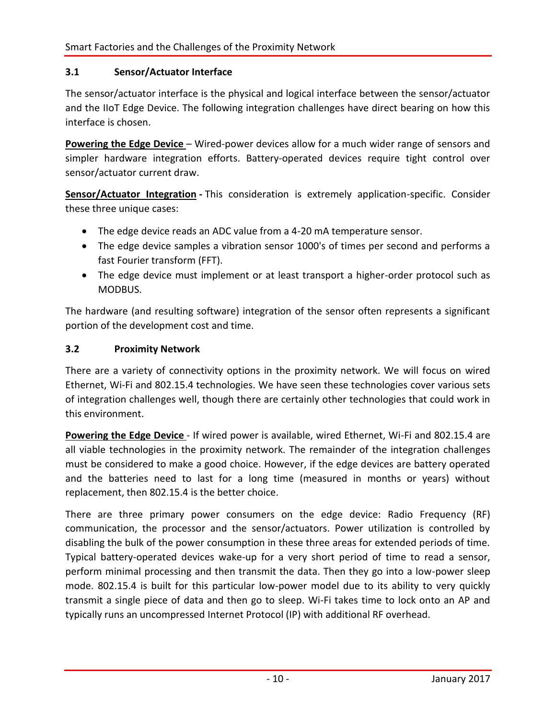#### **3.1 Sensor/Actuator Interface**

The sensor/actuator interface is the physical and logical interface between the sensor/actuator and the IIoT Edge Device. The following integration challenges have direct bearing on how this interface is chosen.

**Powering the Edge Device** – Wired-power devices allow for a much wider range of sensors and simpler hardware integration efforts. Battery-operated devices require tight control over sensor/actuator current draw.

**Sensor/Actuator Integration -** This consideration is extremely application-specific. Consider these three unique cases:

- The edge device reads an ADC value from a 4-20 mA temperature sensor.
- The edge device samples a vibration sensor 1000's of times per second and performs a fast Fourier transform (FFT).
- The edge device must implement or at least transport a higher-order protocol such as MODBUS.

The hardware (and resulting software) integration of the sensor often represents a significant portion of the development cost and time.

#### **3.2 Proximity Network**

There are a variety of connectivity options in the proximity network. We will focus on wired Ethernet, Wi-Fi and 802.15.4 technologies. We have seen these technologies cover various sets of integration challenges well, though there are certainly other technologies that could work in this environment.

**Powering the Edge Device** - If wired power is available, wired Ethernet, Wi-Fi and 802.15.4 are all viable technologies in the proximity network. The remainder of the integration challenges must be considered to make a good choice. However, if the edge devices are battery operated and the batteries need to last for a long time (measured in months or years) without replacement, then 802.15.4 is the better choice.

There are three primary power consumers on the edge device: Radio Frequency (RF) communication, the processor and the sensor/actuators. Power utilization is controlled by disabling the bulk of the power consumption in these three areas for extended periods of time. Typical battery-operated devices wake-up for a very short period of time to read a sensor, perform minimal processing and then transmit the data. Then they go into a low-power sleep mode. 802.15.4 is built for this particular low-power model due to its ability to very quickly transmit a single piece of data and then go to sleep. Wi-Fi takes time to lock onto an AP and typically runs an uncompressed Internet Protocol (IP) with additional RF overhead.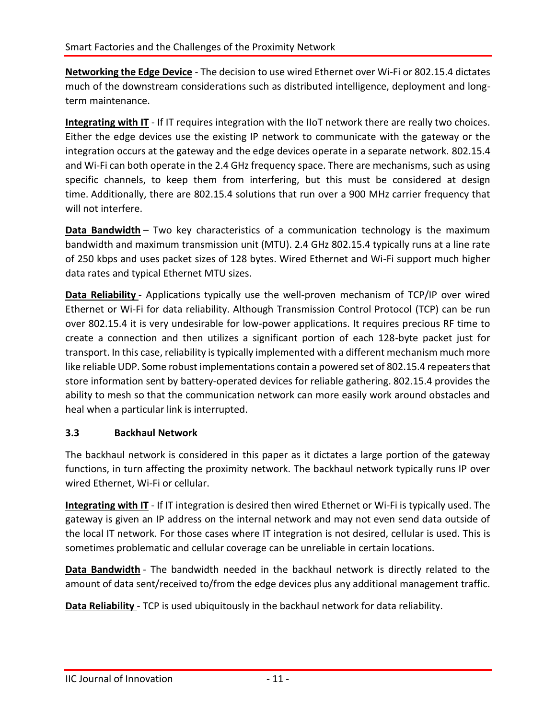**Networking the Edge Device** - The decision to use wired Ethernet over Wi-Fi or 802.15.4 dictates much of the downstream considerations such as distributed intelligence, deployment and longterm maintenance.

**Integrating with IT** - If IT requires integration with the IIoT network there are really two choices. Either the edge devices use the existing IP network to communicate with the gateway or the integration occurs at the gateway and the edge devices operate in a separate network. 802.15.4 and Wi-Fi can both operate in the 2.4 GHz frequency space. There are mechanisms, such as using specific channels, to keep them from interfering, but this must be considered at design time. Additionally, there are 802.15.4 solutions that run over a 900 MHz carrier frequency that will not interfere.

**Data Bandwidth** – Two key characteristics of a communication technology is the maximum bandwidth and maximum transmission unit (MTU). 2.4 GHz 802.15.4 typically runs at a line rate of 250 kbps and uses packet sizes of 128 bytes. Wired Ethernet and Wi-Fi support much higher data rates and typical Ethernet MTU sizes.

**Data Reliability** - Applications typically use the well-proven mechanism of TCP/IP over wired Ethernet or Wi-Fi for data reliability. Although Transmission Control Protocol (TCP) can be run over 802.15.4 it is very undesirable for low-power applications. It requires precious RF time to create a connection and then utilizes a significant portion of each 128-byte packet just for transport. In this case, reliability is typically implemented with a different mechanism much more like reliable UDP. Some robust implementations contain a powered set of 802.15.4 repeaters that store information sent by battery-operated devices for reliable gathering. 802.15.4 provides the ability to mesh so that the communication network can more easily work around obstacles and heal when a particular link is interrupted.

#### **3.3 Backhaul Network**

The backhaul network is considered in this paper as it dictates a large portion of the gateway functions, in turn affecting the proximity network. The backhaul network typically runs IP over wired Ethernet, Wi-Fi or cellular.

**Integrating with IT** - If IT integration is desired then wired Ethernet or Wi-Fi is typically used. The gateway is given an IP address on the internal network and may not even send data outside of the local IT network. For those cases where IT integration is not desired, cellular is used. This is sometimes problematic and cellular coverage can be unreliable in certain locations.

**Data Bandwidth** - The bandwidth needed in the backhaul network is directly related to the amount of data sent/received to/from the edge devices plus any additional management traffic.

**Data Reliability** - TCP is used ubiquitously in the backhaul network for data reliability.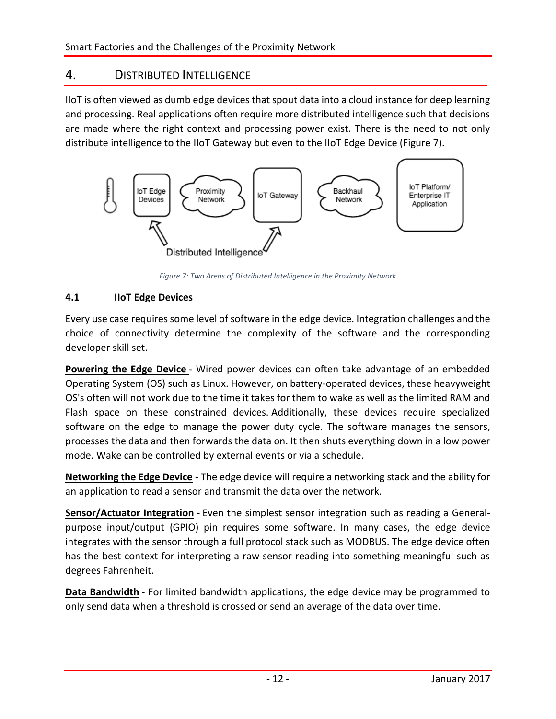## 4. DISTRIBUTED INTELLIGENCE

IIoT is often viewed as dumb edge devices that spout data into a cloud instance for deep learning and processing. Real applications often require more distributed intelligence such that decisions are made where the right context and processing power exist. There is the need to not only distribute intelligence to the IIoT Gateway but even to the IIoT Edge Device (Figure 7).



*Figure 7: Two Areas of Distributed Intelligence in the Proximity Network*

#### **4.1 IIoT Edge Devices**

Every use case requires some level of software in the edge device. Integration challenges and the choice of connectivity determine the complexity of the software and the corresponding developer skill set.

**Powering the Edge Device** - Wired power devices can often take advantage of an embedded Operating System (OS) such as Linux. However, on battery-operated devices, these heavyweight OS's often will not work due to the time it takes for them to wake as well as the limited RAM and Flash space on these constrained devices. Additionally, these devices require specialized software on the edge to manage the power duty cycle. The software manages the sensors, processes the data and then forwards the data on. It then shuts everything down in a low power mode. Wake can be controlled by external events or via a schedule.

**Networking the Edge Device** - The edge device will require a networking stack and the ability for an application to read a sensor and transmit the data over the network.

**Sensor/Actuator Integration -** Even the simplest sensor integration such as reading a Generalpurpose input/output (GPIO) pin requires some software. In many cases, the edge device integrates with the sensor through a full protocol stack such as MODBUS. The edge device often has the best context for interpreting a raw sensor reading into something meaningful such as degrees Fahrenheit.

**Data Bandwidth** - For limited bandwidth applications, the edge device may be programmed to only send data when a threshold is crossed or send an average of the data over time.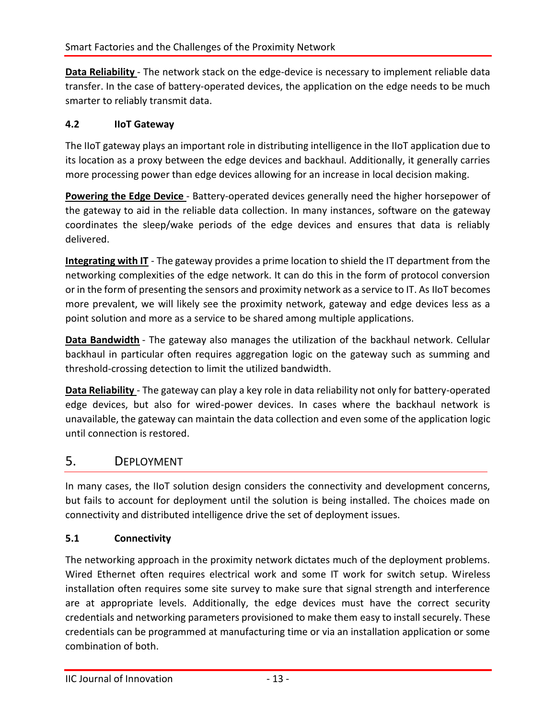**Data Reliability** - The network stack on the edge-device is necessary to implement reliable data transfer. In the case of battery-operated devices, the application on the edge needs to be much smarter to reliably transmit data.

#### **4.2 IIoT Gateway**

The IIoT gateway plays an important role in distributing intelligence in the IIoT application due to its location as a proxy between the edge devices and backhaul. Additionally, it generally carries more processing power than edge devices allowing for an increase in local decision making.

**Powering the Edge Device** - Battery-operated devices generally need the higher horsepower of the gateway to aid in the reliable data collection. In many instances, software on the gateway coordinates the sleep/wake periods of the edge devices and ensures that data is reliably delivered.

**Integrating with IT** - The gateway provides a prime location to shield the IT department from the networking complexities of the edge network. It can do this in the form of protocol conversion or in the form of presenting the sensors and proximity network as a service to IT. As IIoT becomes more prevalent, we will likely see the proximity network, gateway and edge devices less as a point solution and more as a service to be shared among multiple applications.

**Data Bandwidth** - The gateway also manages the utilization of the backhaul network. Cellular backhaul in particular often requires aggregation logic on the gateway such as summing and threshold-crossing detection to limit the utilized bandwidth.

**Data Reliability** - The gateway can play a key role in data reliability not only for battery-operated edge devices, but also for wired-power devices. In cases where the backhaul network is unavailable, the gateway can maintain the data collection and even some of the application logic until connection is restored.

## 5. DEPLOYMENT

In many cases, the IIoT solution design considers the connectivity and development concerns, but fails to account for deployment until the solution is being installed. The choices made on connectivity and distributed intelligence drive the set of deployment issues.

#### **5.1 Connectivity**

The networking approach in the proximity network dictates much of the deployment problems. Wired Ethernet often requires electrical work and some IT work for switch setup. Wireless installation often requires some site survey to make sure that signal strength and interference are at appropriate levels. Additionally, the edge devices must have the correct security credentials and networking parameters provisioned to make them easy to install securely. These credentials can be programmed at manufacturing time or via an installation application or some combination of both.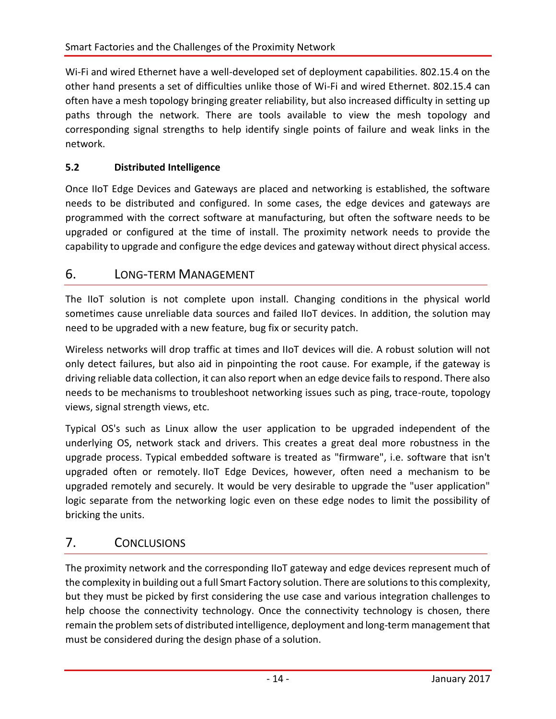Wi-Fi and wired Ethernet have a well-developed set of deployment capabilities. 802.15.4 on the other hand presents a set of difficulties unlike those of Wi-Fi and wired Ethernet. 802.15.4 can often have a mesh topology bringing greater reliability, but also increased difficulty in setting up paths through the network. There are tools available to view the mesh topology and corresponding signal strengths to help identify single points of failure and weak links in the network.

#### **5.2 Distributed Intelligence**

Once IIoT Edge Devices and Gateways are placed and networking is established, the software needs to be distributed and configured. In some cases, the edge devices and gateways are programmed with the correct software at manufacturing, but often the software needs to be upgraded or configured at the time of install. The proximity network needs to provide the capability to upgrade and configure the edge devices and gateway without direct physical access.

### 6. LONG-TERM MANAGEMENT

The IIoT solution is not complete upon install. Changing conditions in the physical world sometimes cause unreliable data sources and failed IIoT devices. In addition, the solution may need to be upgraded with a new feature, bug fix or security patch.

Wireless networks will drop traffic at times and IIoT devices will die. A robust solution will not only detect failures, but also aid in pinpointing the root cause. For example, if the gateway is driving reliable data collection, it can also report when an edge device fails to respond. There also needs to be mechanisms to troubleshoot networking issues such as ping, trace-route, topology views, signal strength views, etc.

Typical OS's such as Linux allow the user application to be upgraded independent of the underlying OS, network stack and drivers. This creates a great deal more robustness in the upgrade process. Typical embedded software is treated as "firmware", i.e. software that isn't upgraded often or remotely. IIoT Edge Devices, however, often need a mechanism to be upgraded remotely and securely. It would be very desirable to upgrade the "user application" logic separate from the networking logic even on these edge nodes to limit the possibility of bricking the units.

## 7. CONCLUSIONS

The proximity network and the corresponding IIoT gateway and edge devices represent much of the complexity in building out a full Smart Factory solution. There are solutions to this complexity, but they must be picked by first considering the use case and various integration challenges to help choose the connectivity technology. Once the connectivity technology is chosen, there remain the problem sets of distributed intelligence, deployment and long-term management that must be considered during the design phase of a solution.